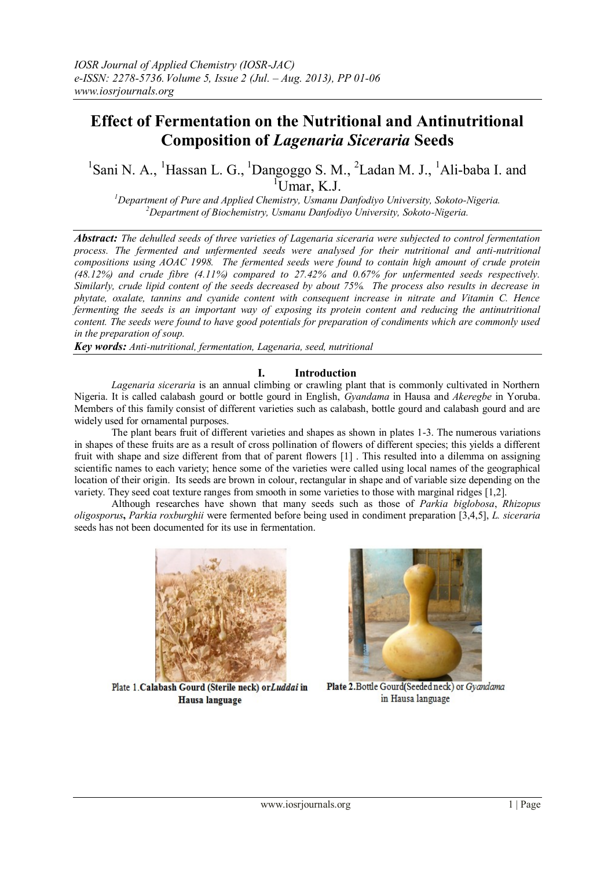# **Effect of Fermentation on the Nutritional and Antinutritional Composition of** *Lagenaria Siceraria* **Seeds**

<sup>1</sup>Sani N. A., <sup>1</sup>Hassan L. G., <sup>1</sup>Dangoggo S. M., <sup>2</sup>Ladan M. J., <sup>1</sup>Ali-baba I. and  $\overline{U}$ Umar, K.J.

*<sup>1</sup>Department of Pure and Applied Chemistry, Usmanu Danfodiyo University, Sokoto-Nigeria. <sup>2</sup>Department of Biochemistry, Usmanu Danfodiyo University, Sokoto-Nigeria.*

*Abstract: The dehulled seeds of three varieties of Lagenaria siceraria were subjected to control fermentation process. The fermented and unfermented seeds were analysed for their nutritional and anti-nutritional compositions using AOAC 1998. The fermented seeds were found to contain high amount of crude protein (48.12%) and crude fibre (4.11%) compared to 27.42% and 0.67% for unfermented seeds respectively. Similarly, crude lipid content of the seeds decreased by about 75%. The process also results in decrease in phytate, oxalate, tannins and cyanide content with consequent increase in nitrate and Vitamin C. Hence fermenting the seeds is an important way of exposing its protein content and reducing the antinutritional content. The seeds were found to have good potentials for preparation of condiments which are commonly used in the preparation of soup.* 

*Key words: Anti-nutritional, fermentation, Lagenaria, seed, nutritional* 

#### **I. Introduction**

*Lagenaria siceraria* is an annual climbing or crawling plant that is commonly cultivated in Northern Nigeria. It is called calabash gourd or bottle gourd in English, *Gyandama* in Hausa and *Akeregbe* in Yoruba. Members of this family consist of different varieties such as calabash, bottle gourd and calabash gourd and are widely used for ornamental purposes.

The plant bears fruit of different varieties and shapes as shown in plates 1-3. The numerous variations in shapes of these fruits are as a result of cross pollination of flowers of different species; this yields a different fruit with shape and size different from that of parent flowers [1] . This resulted into a dilemma on assigning scientific names to each variety; hence some of the varieties were called using local names of the geographical location of their origin. Its seeds are brown in colour, rectangular in shape and of variable size depending on the variety. They seed coat texture ranges from smooth in some varieties to those with marginal ridges [1,2].

Although researches have shown that many seeds such as those of *Parkia biglobosa*, *Rhizopus oligosporus***,** *Parkia roxburghii* were fermented before being used in condiment preparation [3,4,5], *L. siceraria* seeds has not been documented for its use in fermentation.



Plate 1. Calabash Gourd (Sterile neck) or Luddai in **Hausa** language



Plate 2. Bottle Gourd(Seeded neck) or Gyandama in Hausa language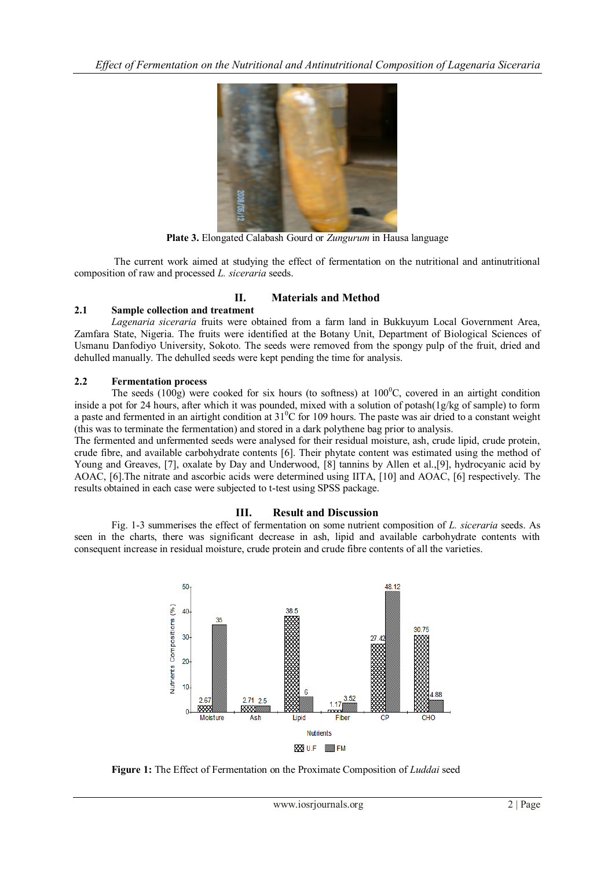*Effect of Fermentation on the Nutritional and Antinutritional Composition of Lagenaria Siceraria*



**Plate 3.** Elongated Calabash Gourd or *Zungurum* in Hausa language

The current work aimed at studying the effect of fermentation on the nutritional and antinutritional composition of raw and processed *L. siceraria* seeds.

# **II. Materials and Method**

### **2.1 Sample collection and treatment**

*Lagenaria siceraria* fruits were obtained from a farm land in Bukkuyum Local Government Area, Zamfara State, Nigeria. The fruits were identified at the Botany Unit, Department of Biological Sciences of Usmanu Danfodiyo University, Sokoto. The seeds were removed from the spongy pulp of the fruit, dried and dehulled manually. The dehulled seeds were kept pending the time for analysis.

# **2.2 Fermentation process**

The seeds (100g) were cooked for six hours (to softness) at  $100^{\circ}$ C, covered in an airtight condition inside a pot for 24 hours, after which it was pounded, mixed with a solution of potash(1g/kg of sample) to form a paste and fermented in an airtight condition at  $31^0C$  for 109 hours. The paste was air dried to a constant weight (this was to terminate the fermentation) and stored in a dark polythene bag prior to analysis.

The fermented and unfermented seeds were analysed for their residual moisture, ash, crude lipid, crude protein, crude fibre, and available carbohydrate contents [6]. Their phytate content was estimated using the method of Young and Greaves, [7], oxalate by Day and Underwood, [8] tannins by Allen et al., [9], hydrocyanic acid by AOAC, [6].The nitrate and ascorbic acids were determined using IITA, [10] and AOAC, [6] respectively. The results obtained in each case were subjected to t-test using SPSS package.

# **III. Result and Discussion**

Fig. 1-3 summerises the effect of fermentation on some nutrient composition of *L. siceraria* seeds. As seen in the charts, there was significant decrease in ash, lipid and available carbohydrate contents with consequent increase in residual moisture, crude protein and crude fibre contents of all the varieties.



**Figure 1:** The Effect of Fermentation on the Proximate Composition of *Luddai* seed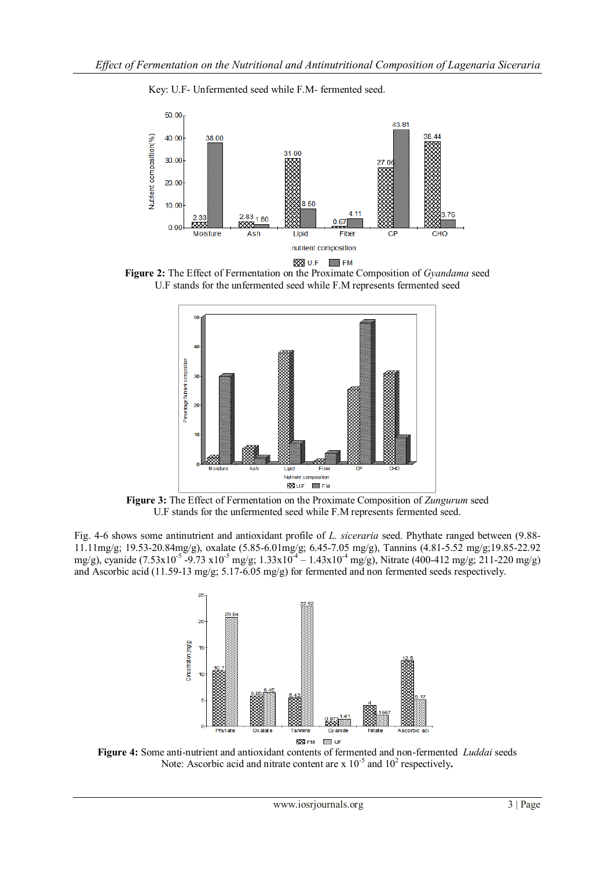

Key: U.F- Unfermented seed while F.M- fermented seed.

**Figure 2:** The Effect of Fermentation on the Proximate Composition of *Gyandama* seed U.F stands for the unfermented seed while F.M represents fermented seed



**Figure 3:** The Effect of Fermentation on the Proximate Composition of *Zungurum* seed U.F stands for the unfermented seed while F.M represents fermented seed.

Fig. 4-6 shows some antinutrient and antioxidant profile of *L. siceraria* seed. Phythate ranged between (9.88- 11.11mg/g; 19.53-20.84mg/g), oxalate (5.85-6.01mg/g; 6.45-7.05 mg/g), Tannins (4.81-5.52 mg/g;19.85-22.92 mg/g), cyanide (7.53x10<sup>-5</sup> -9.73 x10<sup>-5</sup> mg/g; 1.33x10<sup>-4</sup> – 1.43x10<sup>-4</sup> mg/g), Nitrate (400-412 mg/g; 211-220 mg/g) and Ascorbic acid (11.59-13 mg/g; 5.17-6.05 mg/g) for fermented and non fermented seeds respectively.



**Figure 4:** Some anti-nutrient and antioxidant contents of fermented and non-fermented *Luddai* seeds Note: Ascorbic acid and nitrate content are  $x$  10<sup>-5</sup> and 10<sup>2</sup> respectively.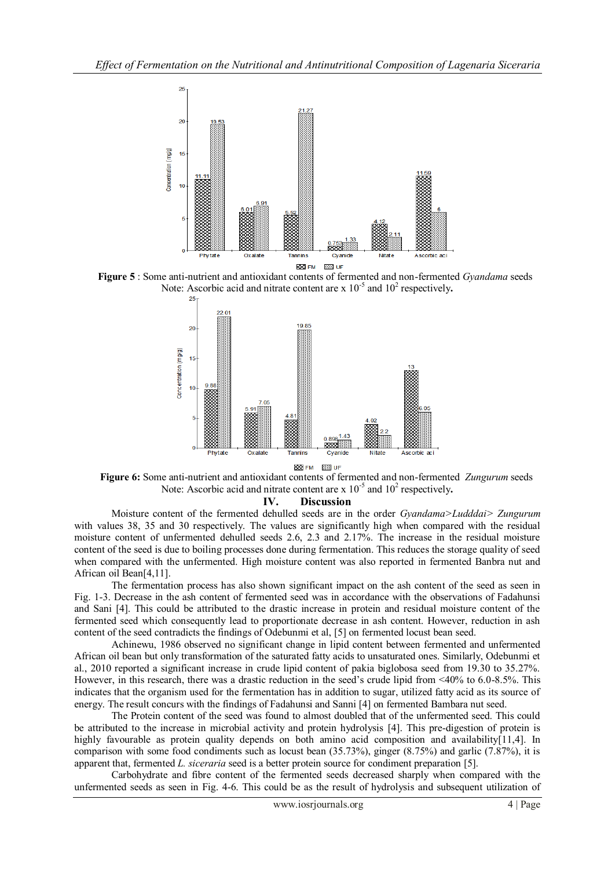





 **Figure 6:** Some anti-nutrient and antioxidant contents of fermented and non-fermented *Zungurum* seeds Note: Ascorbic acid and nitrate content are  $x$  10<sup>-5</sup> and 10<sup>2</sup> respectively.

**IV. Discussion**

Moisture content of the fermented dehulled seeds are in the order *Gyandama>Ludddai> Zungurum* with values 38, 35 and 30 respectively. The values are significantly high when compared with the residual moisture content of unfermented dehulled seeds 2.6, 2.3 and 2.17%. The increase in the residual moisture content of the seed is due to boiling processes done during fermentation. This reduces the storage quality of seed when compared with the unfermented. High moisture content was also reported in fermented Banbra nut and African oil Bean[4,11].

The fermentation process has also shown significant impact on the ash content of the seed as seen in Fig. 1-3. Decrease in the ash content of fermented seed was in accordance with the observations of Fadahunsi and Sani [4]. This could be attributed to the drastic increase in protein and residual moisture content of the fermented seed which consequently lead to proportionate decrease in ash content. However, reduction in ash content of the seed contradicts the findings of Odebunmi et al, [5] on fermented locust bean seed.

Achinewu, 1986 observed no significant change in lipid content between fermented and unfermented African oil bean but only transformation of the saturated fatty acids to unsaturated ones. Similarly, Odebunmi et al., 2010 reported a significant increase in crude lipid content of pakia biglobosa seed from 19.30 to 35.27%. However, in this research, there was a drastic reduction in the seed's crude lipid from <40% to 6.0-8.5%. This indicates that the organism used for the fermentation has in addition to sugar, utilized fatty acid as its source of energy. The result concurs with the findings of Fadahunsi and Sanni [4] on fermented Bambara nut seed.

The Protein content of the seed was found to almost doubled that of the unfermented seed. This could be attributed to the increase in microbial activity and protein hydrolysis [4]. This pre-digestion of protein is highly favourable as protein quality depends on both amino acid composition and availability[11,4]. In comparison with some food condiments such as locust bean (35.73%), ginger (8.75%) and garlic (7.87%), it is apparent that, fermented *L. siceraria* seed is a better protein source for condiment preparation [5].

Carbohydrate and fibre content of the fermented seeds decreased sharply when compared with the unfermented seeds as seen in Fig. 4-6. This could be as the result of hydrolysis and subsequent utilization of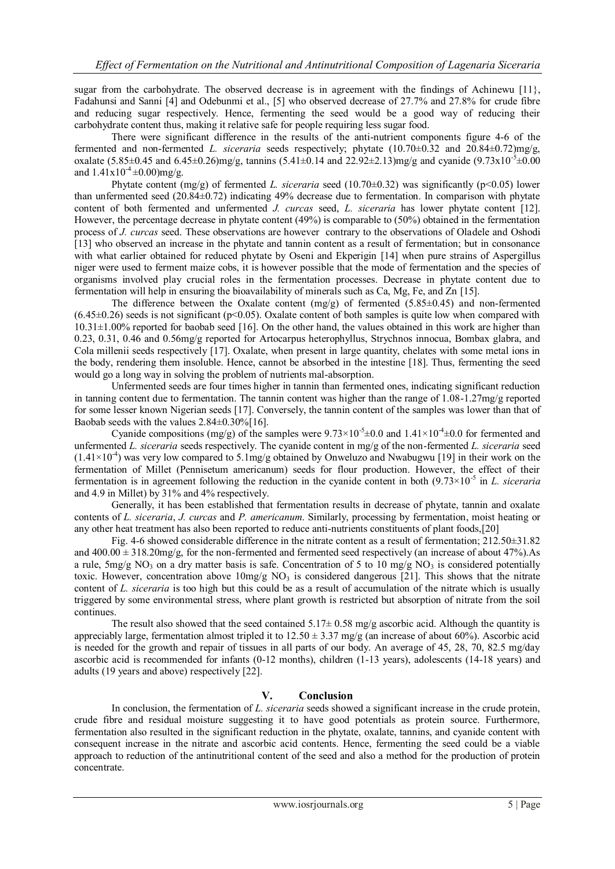sugar from the carbohydrate. The observed decrease is in agreement with the findings of Achinewu  $[11]$ , Fadahunsi and Sanni [4] and Odebunmi et al., [5] who observed decrease of 27.7% and 27.8% for crude fibre and reducing sugar respectively. Hence, fermenting the seed would be a good way of reducing their carbohydrate content thus, making it relative safe for people requiring less sugar food.

There were significant difference in the results of the anti-nutrient components figure 4-6 of the fermented and non-fermented *L. siceraria* seeds respectively; phytate (10.70±0.32 and 20.84±0.72)mg/g, oxalate  $(5.85\pm0.45$  and  $6.45\pm0.26)$  mg/g, tannins  $(5.41\pm0.14$  and  $22.92\pm2.13)$  mg/g and cyanide  $(9.73 \times 10^{-5} \pm 0.00)$ and  $1.41x10^{-4} \pm 0.00$ )mg/g.

Phytate content (mg/g) of fermented *L. siceraria* seed (10.70±0.32) was significantly (p<0.05) lower than unfermented seed (20.84±0.72) indicating 49% decrease due to fermentation. In comparison with phytate content of both fermented and unfermented *J. curcas* seed, *L. siceraria* has lower phytate content [12]. However, the percentage decrease in phytate content (49%) is comparable to (50%) obtained in the fermentation process of *J. curcas* seed. These observations are however contrary to the observations of Oladele and Oshodi [13] who observed an increase in the phytate and tannin content as a result of fermentation; but in consonance with what earlier obtained for reduced phytate by Oseni and Ekperigin [14] when pure strains of Aspergillus [niger](http://www.scialert.net/asci/result.php?searchin=Keywords&cat=&ascicat=ALL&Submit=Search&keyword=Aspergillus+niger) were used to ferment maize cobs, it is however possible that the mode of fermentation and the species of organisms involved play crucial roles in the fermentation processes. Decrease in phytate content due to fermentation will help in ensuring the bioavailability of minerals such as Ca, Mg, Fe, and Zn [15].

The difference between the Oxalate content (mg/g) of fermented (5.85±0.45) and non-fermented  $(6.45\pm0.26)$  seeds is not significant (p<0.05). Oxalate content of both samples is quite low when compared with 10.31±1.00% reported for baobab seed [16]. On the other hand, the values obtained in this work are higher than 0.23, 0.31, 0.46 and 0.56mg/g reported for Artocarpus heterophyllus, Strychnos innocua, Bombax glabra, and Cola millenii seeds respectively [17]. Oxalate, when present in large quantity, chelates with some metal ions in the body, rendering them insoluble. Hence, cannot be absorbed in the intestine [18]. Thus, fermenting the seed would go a long way in solving the problem of nutrients mal-absorption.

Unfermented seeds are four times higher in tannin than fermented ones, indicating significant reduction in tanning content due to fermentation. The tannin content was higher than the range of 1.08-1.27mg/g reported for some lesser known Nigerian seeds [17]. Conversely, the tannin content of the samples was lower than that of Baobab seeds with the values 2.84±0.30%[16].

Cyanide compositions (mg/g) of the samples were  $9.73 \times 10^{-5} \pm 0.0$  and  $1.41 \times 10^{-4} \pm 0.0$  for fermented and unfermented *L. siceraria* seeds respectively. The cyanide content in mg/g of the non-fermented *L. siceraria* seed  $(1.41 \times 10^{-4})$  was very low compared to 5.1mg/g obtained by Onweluzo and Nwabugwu [19] in their work on the fermentation of Millet (Pennisetum americanum) seeds for flour production. However, the effect of their fermentation is in agreement following the reduction in the cyanide content in both (9.73×10<sup>-5</sup> in *L. siceraria* and 4.9 in Millet) by 31% and 4% respectively.

Generally, it has been established that fermentation results in decrease of phytate, tannin and oxalate contents of *L. siceraria*, *J. curcas* and *P. americanum*. Similarly, processing by fermentation, moist heating or any other heat treatment has also been reported to reduce anti-nutrients constituents of plant foods,[20]

Fig. 4-6 showed considerable difference in the nitrate content as a result of fermentation; 212.50±31.82 and  $400.00 \pm 318.20$  mg/g, for the non-fermented and fermented seed respectively (an increase of about 47%).As a rule,  $5mg/g NO<sub>3</sub>$  on a dry matter basis is safe. Concentration of 5 to 10 mg/g NO<sub>3</sub> is considered potentially toxic. However, concentration above  $10mg/g NO<sub>3</sub>$  is considered dangerous [21]. This shows that the nitrate content of *L. siceraria* is too high but this could be as a result of accumulation of the nitrate which is usually triggered by some environmental stress, where plant growth is restricted but absorption of nitrate from the soil continues.

The result also showed that the seed contained  $5.17 \pm 0.58$  mg/g ascorbic acid. Although the quantity is appreciably large, fermentation almost tripled it to  $12.50 \pm 3.37$  mg/g (an increase of about 60%). Ascorbic acid is needed for the growth and repair of tissues in all parts of our body. An average of 45, 28, 70, 82.5 mg/day ascorbic acid is recommended for infants (0-12 months), children (1-13 years), adolescents (14-18 years) and adults (19 years and above) respectively [22].

### **V. Conclusion**

In conclusion, the fermentation of *L. siceraria* seeds showed a significant increase in the crude protein, crude fibre and residual moisture suggesting it to have good potentials as protein source. Furthermore, fermentation also resulted in the significant reduction in the phytate, oxalate, tannins, and cyanide content with consequent increase in the nitrate and ascorbic acid contents. Hence, fermenting the seed could be a viable approach to reduction of the antinutritional content of the seed and also a method for the production of protein concentrate.